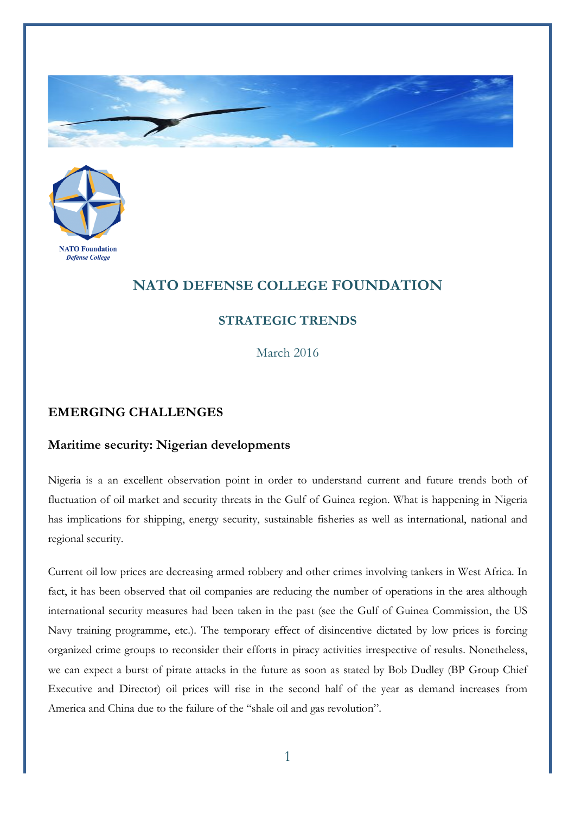



## **NATO DEFENSE COLLEGE FOUNDATION**

## **STRATEGIC TRENDS**

March 2016

## **EMERGING CHALLENGES**

## **Maritime security: Nigerian developments**

Nigeria is a an excellent observation point in order to understand current and future trends both of fluctuation of oil market and security threats in the Gulf of Guinea region. What is happening in Nigeria has implications for shipping, energy security, sustainable fisheries as well as international, national and regional security.

Current oil low prices are decreasing armed robbery and other crimes involving tankers in West Africa. In fact, it has been observed that oil companies are reducing the number of operations in the area although international security measures had been taken in the past (see the Gulf of Guinea Commission, the US Navy training programme, etc.). The temporary effect of disincentive dictated by low prices is forcing organized crime groups to reconsider their efforts in piracy activities irrespective of results. Nonetheless, we can expect a burst of pirate attacks in the future as soon as stated by Bob Dudley (BP Group Chief Executive and Director) oil prices will rise in the second half of the year as demand increases from America and China due to the failure of the "shale oil and gas revolution".